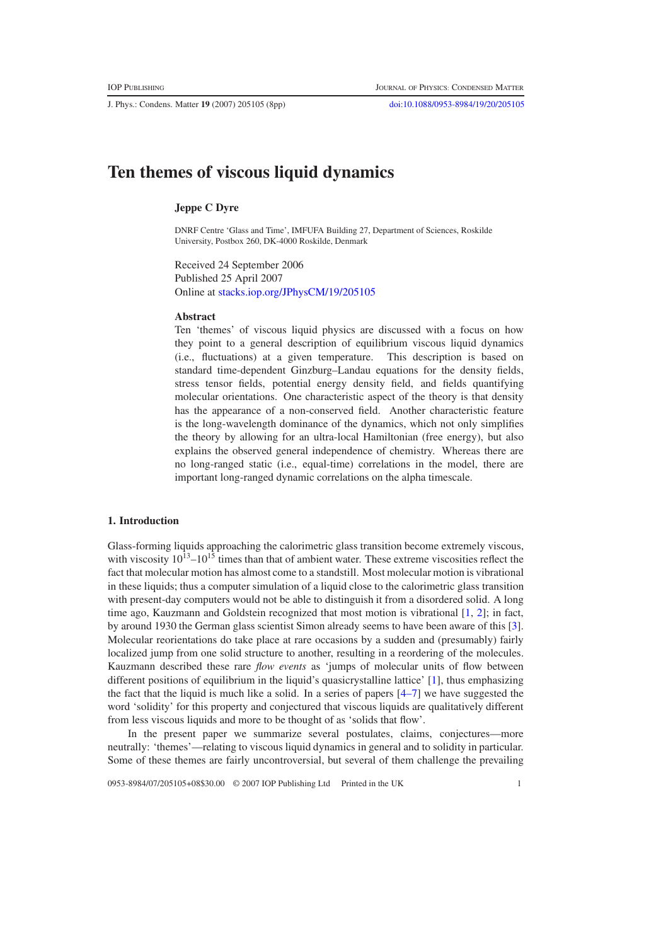J. Phys.: Condens. Matter **19** (2007) 205105 (8pp) [doi:10.1088/0953-8984/19/20/205105](http://dx.doi.org/10.1088/0953-8984/19/20/205105)

# **Ten themes of viscous liquid dynamics**

### **Jeppe C Dyre**

DNRF Centre 'Glass and Time', IMFUFA Building 27, Department of Sciences, Roskilde University, Postbox 260, DK-4000 Roskilde, Denmark

Received 24 September 2006 Published 25 April 2007 Online at [stacks.iop.org/JPhysCM/19/205105](http://stacks.iop.org/JPhysCM/19/205105)

#### **Abstract**

Ten 'themes' of viscous liquid physics are discussed with a focus on how they point to a general description of equilibrium viscous liquid dynamics (i.e., fluctuations) at a given temperature. This description is based on standard time-dependent Ginzburg–Landau equations for the density fields, stress tensor fields, potential energy density field, and fields quantifying molecular orientations. One characteristic aspect of the theory is that density has the appearance of a non-conserved field. Another characteristic feature is the long-wavelength dominance of the dynamics, which not only simplifies the theory by allowing for an ultra-local Hamiltonian (free energy), but also explains the observed general independence of chemistry. Whereas there are no long-ranged static (i.e., equal-time) correlations in the model, there are important long-ranged dynamic correlations on the alpha timescale.

## **1. Introduction**

Glass-forming liquids approaching the calorimetric glass transition become extremely viscous, with viscosity  $10^{13}$ – $10^{15}$  times than that of ambient water. These extreme viscosities reflect the fact that molecular motion has almost come to a standstill. Most molecular motion is vibrational in these liquids; thus a computer simulation of a liquid close to the calorimetric glass transition with present-day computers would not be able to distinguish it from a disordered solid. A long time ago, Kauzmann and Goldstein recognized that most motion is vibrational [\[1,](#page-7-0) [2\]](#page-7-1); in fact, by around 1930 the German glass scientist Simon already seems to have been aware of this [\[3\]](#page-7-2). Molecular reorientations do take place at rare occasions by a sudden and (presumably) fairly localized jump from one solid structure to another, resulting in a reordering of the molecules. Kauzmann described these rare *flow events* as 'jumps of molecular units of flow between different positions of equilibrium in the liquid's quasicrystalline lattice' [\[1\]](#page-7-0), thus emphasizing the fact that the liquid is much like a solid. In a series of papers [\[4–7\]](#page-7-3) we have suggested the word 'solidity' for this property and conjectured that viscous liquids are qualitatively different from less viscous liquids and more to be thought of as 'solids that flow'.

In the present paper we summarize several postulates, claims, conjectures—more neutrally: 'themes'—relating to viscous liquid dynamics in general and to solidity in particular. Some of these themes are fairly uncontroversial, but several of them challenge the prevailing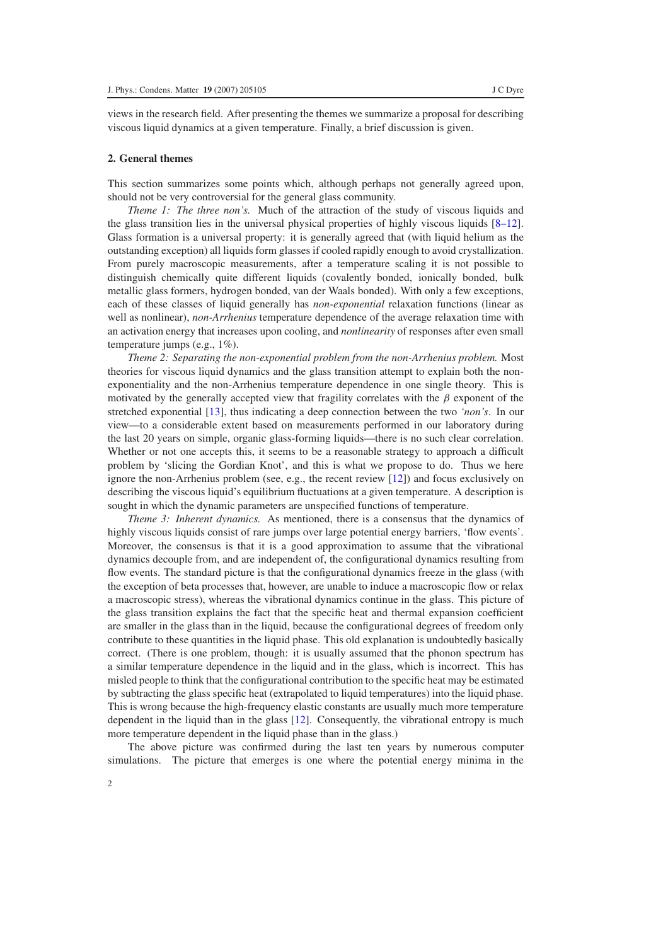views in the research field. After presenting the themes we summarize a proposal for describing viscous liquid dynamics at a given temperature. Finally, a brief discussion is given.

#### **2. General themes**

This section summarizes some points which, although perhaps not generally agreed upon, should not be very controversial for the general glass community.

*Theme 1: The three non's.* Much of the attraction of the study of viscous liquids and the glass transition lies in the universal physical properties of highly viscous liquids [\[8–12\]](#page-7-4). Glass formation is a universal property: it is generally agreed that (with liquid helium as the outstanding exception) all liquids form glasses if cooled rapidly enough to avoid crystallization. From purely macroscopic measurements, after a temperature scaling it is not possible to distinguish chemically quite different liquids (covalently bonded, ionically bonded, bulk metallic glass formers, hydrogen bonded, van der Waals bonded). With only a few exceptions, each of these classes of liquid generally has *non-exponential* relaxation functions (linear as well as nonlinear), *non-Arrhenius* temperature dependence of the average relaxation time with an activation energy that increases upon cooling, and *nonlinearity* of responses after even small temperature jumps (e.g., 1%).

*Theme 2: Separating the non-exponential problem from the non-Arrhenius problem.* Most theories for viscous liquid dynamics and the glass transition attempt to explain both the nonexponentiality and the non-Arrhenius temperature dependence in one single theory. This is motivated by the generally accepted view that fragility correlates with the  $\beta$  exponent of the stretched exponential [\[13\]](#page-7-5), thus indicating a deep connection between the two *'non's*. In our view—to a considerable extent based on measurements performed in our laboratory during the last 20 years on simple, organic glass-forming liquids—there is no such clear correlation. Whether or not one accepts this, it seems to be a reasonable strategy to approach a difficult problem by 'slicing the Gordian Knot', and this is what we propose to do. Thus we here ignore the non-Arrhenius problem (see, e.g., the recent review [\[12\]](#page-7-6)) and focus exclusively on describing the viscous liquid's equilibrium fluctuations at a given temperature. A description is sought in which the dynamic parameters are unspecified functions of temperature.

*Theme 3: Inherent dynamics.* As mentioned, there is a consensus that the dynamics of highly viscous liquids consist of rare jumps over large potential energy barriers, 'flow events'. Moreover, the consensus is that it is a good approximation to assume that the vibrational dynamics decouple from, and are independent of, the configurational dynamics resulting from flow events. The standard picture is that the configurational dynamics freeze in the glass (with the exception of beta processes that, however, are unable to induce a macroscopic flow or relax a macroscopic stress), whereas the vibrational dynamics continue in the glass. This picture of the glass transition explains the fact that the specific heat and thermal expansion coefficient are smaller in the glass than in the liquid, because the configurational degrees of freedom only contribute to these quantities in the liquid phase. This old explanation is undoubtedly basically correct. (There is one problem, though: it is usually assumed that the phonon spectrum has a similar temperature dependence in the liquid and in the glass, which is incorrect. This has misled people to think that the configurational contribution to the specific heat may be estimated by subtracting the glass specific heat (extrapolated to liquid temperatures) into the liquid phase. This is wrong because the high-frequency elastic constants are usually much more temperature dependent in the liquid than in the glass [\[12\]](#page-7-6). Consequently, the vibrational entropy is much more temperature dependent in the liquid phase than in the glass.)

The above picture was confirmed during the last ten years by numerous computer simulations. The picture that emerges is one where the potential energy minima in the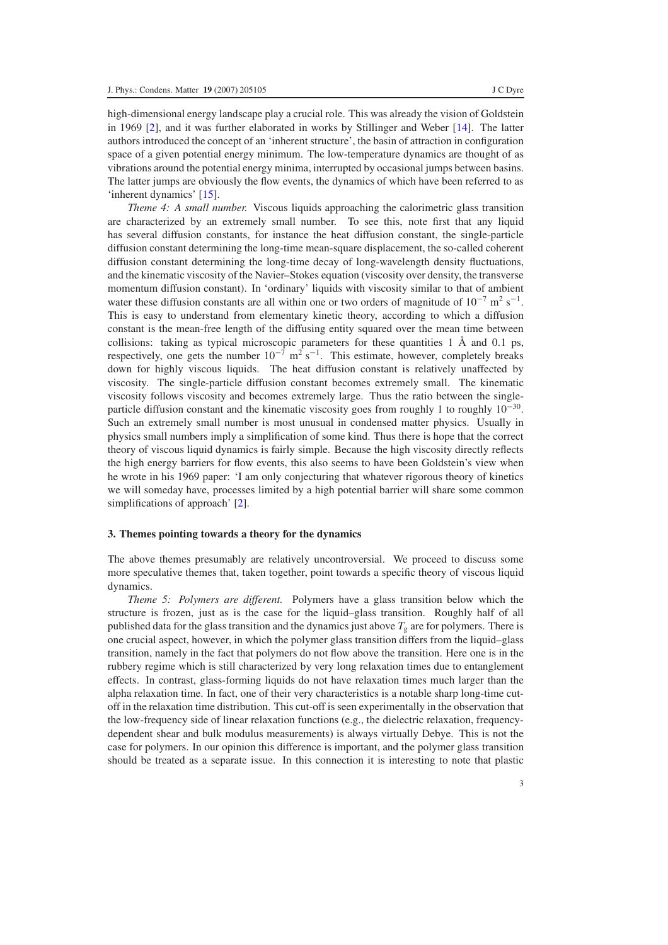high-dimensional energy landscape play a crucial role. This was already the vision of Goldstein in 1969 [\[2\]](#page-7-1), and it was further elaborated in works by Stillinger and Weber [\[14\]](#page-7-7). The latter authors introduced the concept of an 'inherent structure', the basin of attraction in configuration space of a given potential energy minimum. The low-temperature dynamics are thought of as vibrations around the potential energy minima, interrupted by occasional jumps between basins. The latter jumps are obviously the flow events, the dynamics of which have been referred to as 'inherent dynamics' [\[15\]](#page-7-8).

*Theme 4: A small number.* Viscous liquids approaching the calorimetric glass transition are characterized by an extremely small number. To see this, note first that any liquid has several diffusion constants, for instance the heat diffusion constant, the single-particle diffusion constant determining the long-time mean-square displacement, the so-called coherent diffusion constant determining the long-time decay of long-wavelength density fluctuations, and the kinematic viscosity of the Navier–Stokes equation (viscosity over density, the transverse momentum diffusion constant). In 'ordinary' liquids with viscosity similar to that of ambient water these diffusion constants are all within one or two orders of magnitude of  $10^{-7}$  m<sup>2</sup> s<sup>-1</sup>. This is easy to understand from elementary kinetic theory, according to which a diffusion constant is the mean-free length of the diffusing entity squared over the mean time between collisions: taking as typical microscopic parameters for these quantities  $1 \text{ Å}$  and  $0.1 \text{ ps}$ , respectively, one gets the number  $10^{-7}$  m<sup>2</sup> s<sup>−1</sup>. This estimate, however, completely breaks down for highly viscous liquids. The heat diffusion constant is relatively unaffected by viscosity. The single-particle diffusion constant becomes extremely small. The kinematic viscosity follows viscosity and becomes extremely large. Thus the ratio between the singleparticle diffusion constant and the kinematic viscosity goes from roughly 1 to roughly  $10^{-30}$ . Such an extremely small number is most unusual in condensed matter physics. Usually in physics small numbers imply a simplification of some kind. Thus there is hope that the correct theory of viscous liquid dynamics is fairly simple. Because the high viscosity directly reflects the high energy barriers for flow events, this also seems to have been Goldstein's view when he wrote in his 1969 paper: 'I am only conjecturing that whatever rigorous theory of kinetics we will someday have, processes limited by a high potential barrier will share some common simplifications of approach' [\[2\]](#page-7-1).

#### **3. Themes pointing towards a theory for the dynamics**

The above themes presumably are relatively uncontroversial. We proceed to discuss some more speculative themes that, taken together, point towards a specific theory of viscous liquid dynamics.

*Theme 5: Polymers are different.* Polymers have a glass transition below which the structure is frozen, just as is the case for the liquid–glass transition. Roughly half of all published data for the glass transition and the dynamics just above  $T_g$  are for polymers. There is one crucial aspect, however, in which the polymer glass transition differs from the liquid–glass transition, namely in the fact that polymers do not flow above the transition. Here one is in the rubbery regime which is still characterized by very long relaxation times due to entanglement effects. In contrast, glass-forming liquids do not have relaxation times much larger than the alpha relaxation time. In fact, one of their very characteristics is a notable sharp long-time cutoff in the relaxation time distribution. This cut-off is seen experimentally in the observation that the low-frequency side of linear relaxation functions (e.g., the dielectric relaxation, frequencydependent shear and bulk modulus measurements) is always virtually Debye. This is not the case for polymers. In our opinion this difference is important, and the polymer glass transition should be treated as a separate issue. In this connection it is interesting to note that plastic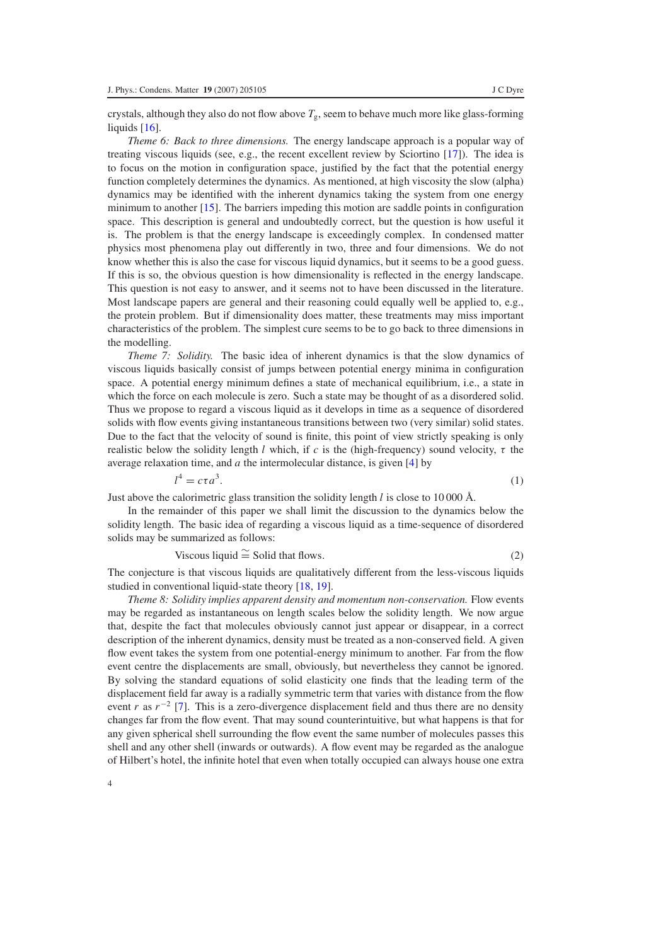*Theme 6: Back to three dimensions.* The energy landscape approach is a popular way of treating viscous liquids (see, e.g., the recent excellent review by Sciortino [\[17\]](#page-7-10)). The idea is to focus on the motion in configuration space, justified by the fact that the potential energy function completely determines the dynamics. As mentioned, at high viscosity the slow (alpha) dynamics may be identified with the inherent dynamics taking the system from one energy minimum to another  $[15]$ . The barriers impeding this motion are saddle points in configuration space. This description is general and undoubtedly correct, but the question is how useful it is. The problem is that the energy landscape is exceedingly complex. In condensed matter physics most phenomena play out differently in two, three and four dimensions. We do not know whether this is also the case for viscous liquid dynamics, but it seems to be a good guess. If this is so, the obvious question is how dimensionality is reflected in the energy landscape. This question is not easy to answer, and it seems not to have been discussed in the literature. Most landscape papers are general and their reasoning could equally well be applied to, e.g., the protein problem. But if dimensionality does matter, these treatments may miss important characteristics of the problem. The simplest cure seems to be to go back to three dimensions in the modelling.

*Theme 7: Solidity.* The basic idea of inherent dynamics is that the slow dynamics of viscous liquids basically consist of jumps between potential energy minima in configuration space. A potential energy minimum defines a state of mechanical equilibrium, i.e., a state in which the force on each molecule is zero. Such a state may be thought of as a disordered solid. Thus we propose to regard a viscous liquid as it develops in time as a sequence of disordered solids with flow events giving instantaneous transitions between two (very similar) solid states. Due to the fact that the velocity of sound is finite, this point of view strictly speaking is only realistic below the solidity length *l* which, if *c* is the (high-frequency) sound velocity,  $\tau$  the average relaxation time, and *a* the intermolecular distance, is given [\[4\]](#page-7-3) by

$$
l^4 = c\tau a^3. \tag{1}
$$

Just above the calorimetric glass transition the solidity length  $l$  is close to 10 000  $\AA$ .

In the remainder of this paper we shall limit the discussion to the dynamics below the solidity length. The basic idea of regarding a viscous liquid as a time-sequence of disordered solids may be summarized as follows:

$$
Viscous liquid \cong Solid that flows. \tag{2}
$$

The conjecture is that viscous liquids are qualitatively different from the less-viscous liquids studied in conventional liquid-state theory [\[18,](#page-7-11) [19\]](#page-7-12).

*Theme 8: Solidity implies apparent density and momentum non-conservation.* Flow events may be regarded as instantaneous on length scales below the solidity length. We now argue that, despite the fact that molecules obviously cannot just appear or disappear, in a correct description of the inherent dynamics, density must be treated as a non-conserved field. A given flow event takes the system from one potential-energy minimum to another. Far from the flow event centre the displacements are small, obviously, but nevertheless they cannot be ignored. By solving the standard equations of solid elasticity one finds that the leading term of the displacement field far away is a radially symmetric term that varies with distance from the flow event *r* as *r*<sup>−</sup><sup>2</sup> [\[7\]](#page-7-13). This is a zero-divergence displacement field and thus there are no density changes far from the flow event. That may sound counterintuitive, but what happens is that for any given spherical shell surrounding the flow event the same number of molecules passes this shell and any other shell (inwards or outwards). A flow event may be regarded as the analogue of Hilbert's hotel, the infinite hotel that even when totally occupied can always house one extra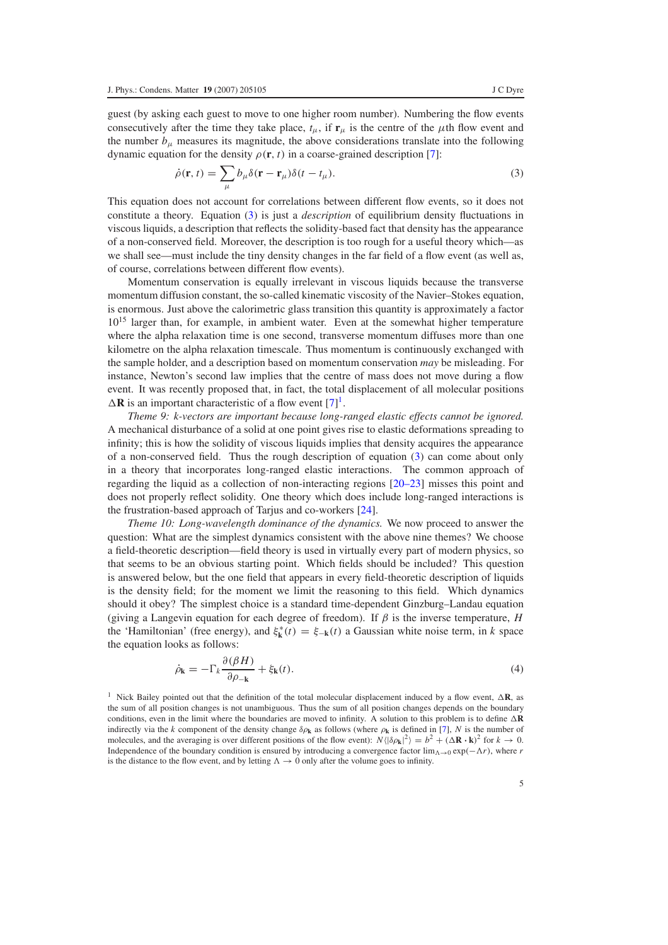<span id="page-4-0"></span>guest (by asking each guest to move to one higher room number). Numbering the flow events consecutively after the time they take place,  $t_{\mu}$ , if  $\mathbf{r}_{\mu}$  is the centre of the  $\mu$ th flow event and the number  $b_{\mu}$  measures its magnitude, the above considerations translate into the following dynamic equation for the density  $\rho(\mathbf{r}, t)$  in a coarse-grained description [\[7\]](#page-7-13):

$$
\dot{\rho}(\mathbf{r},t) = \sum_{\mu} b_{\mu} \delta(\mathbf{r} - \mathbf{r}_{\mu}) \delta(t - t_{\mu}).
$$
\n(3)

This equation does not account for correlations between different flow events, so it does not constitute a theory. Equation [\(3\)](#page-4-0) is just a *description* of equilibrium density fluctuations in viscous liquids, a description that reflects the solidity-based fact that density has the appearance of a non-conserved field. Moreover, the description is too rough for a useful theory which—as we shall see—must include the tiny density changes in the far field of a flow event (as well as, of course, correlations between different flow events).

Momentum conservation is equally irrelevant in viscous liquids because the transverse momentum diffusion constant, the so-called kinematic viscosity of the Navier–Stokes equation, is enormous. Just above the calorimetric glass transition this quantity is approximately a factor  $10^{15}$  larger than, for example, in ambient water. Even at the somewhat higher temperature where the alpha relaxation time is one second, transverse momentum diffuses more than one kilometre on the alpha relaxation timescale. Thus momentum is continuously exchanged with the sample holder, and a description based on momentum conservation *may* be misleading. For instance, Newton's second law implies that the centre of mass does not move during a flow event. It was recently proposed that, in fact, the total displacement of all molecular positions  $\Delta$ **R** is an important characteristic of a flow event  $[7]^1$  $[7]^1$  $[7]^1$ .

*Theme 9: k-vectors are important because long-ranged elastic effects cannot be ignored.* A mechanical disturbance of a solid at one point gives rise to elastic deformations spreading to infinity; this is how the solidity of viscous liquids implies that density acquires the appearance of a non-conserved field. Thus the rough description of equation [\(3\)](#page-4-0) can come about only in a theory that incorporates long-ranged elastic interactions. The common approach of regarding the liquid as a collection of non-interacting regions [\[20–23\]](#page-7-14) misses this point and does not properly reflect solidity. One theory which does include long-ranged interactions is the frustration-based approach of Tarjus and co-workers [\[24\]](#page-7-15).

<span id="page-4-2"></span>*Theme 10: Long-wavelength dominance of the dynamics.* We now proceed to answer the question: What are the simplest dynamics consistent with the above nine themes? We choose a field-theoretic description—field theory is used in virtually every part of modern physics, so that seems to be an obvious starting point. Which fields should be included? This question is answered below, but the one field that appears in every field-theoretic description of liquids is the density field; for the moment we limit the reasoning to this field. Which dynamics should it obey? The simplest choice is a standard time-dependent Ginzburg–Landau equation (giving a Langevin equation for each degree of freedom). If  $\beta$  is the inverse temperature, *H* the 'Hamiltonian' (free energy), and  $\xi_k^*(t) = \xi_{-k}(t)$  a Gaussian white noise term, in *k* space the equation looks as follows:

$$
\dot{\rho}_{\mathbf{k}} = -\Gamma_k \frac{\partial (\beta H)}{\partial \rho_{-\mathbf{k}}} + \xi_{\mathbf{k}}(t). \tag{4}
$$

<span id="page-4-1"></span><sup>1</sup> Nick Bailey pointed out that the definition of the total molecular displacement induced by a flow event,  $\Delta \mathbf{R}$ , as the sum of all position changes is not unambiguous. Thus the sum of all position changes depends on the boundary conditions, even in the limit where the boundaries are moved to infinity. A solution to this problem is to define  $\Delta \mathbf{R}$ indirectly via the *k* component of the density change  $\delta \rho_k$  as follows (where  $\rho_k$  is defined in [\[7\]](#page-7-13), *N* is the number of molecules, and the averaging is over different positions of the flow event):  $N(|\delta \rho_{\mathbf{k}}|^2) = b^2 + (\Delta \mathbf{R} \cdot \mathbf{k})^2$  for  $k \to 0$ . Independence of the boundary condition is ensured by introducing a convergence factor  $\lim_{\Delta \to 0} \exp(-\Delta r)$ , where *r* is the distance to the flow event, and by letting  $\Lambda \rightarrow 0$  only after the volume goes to infinity.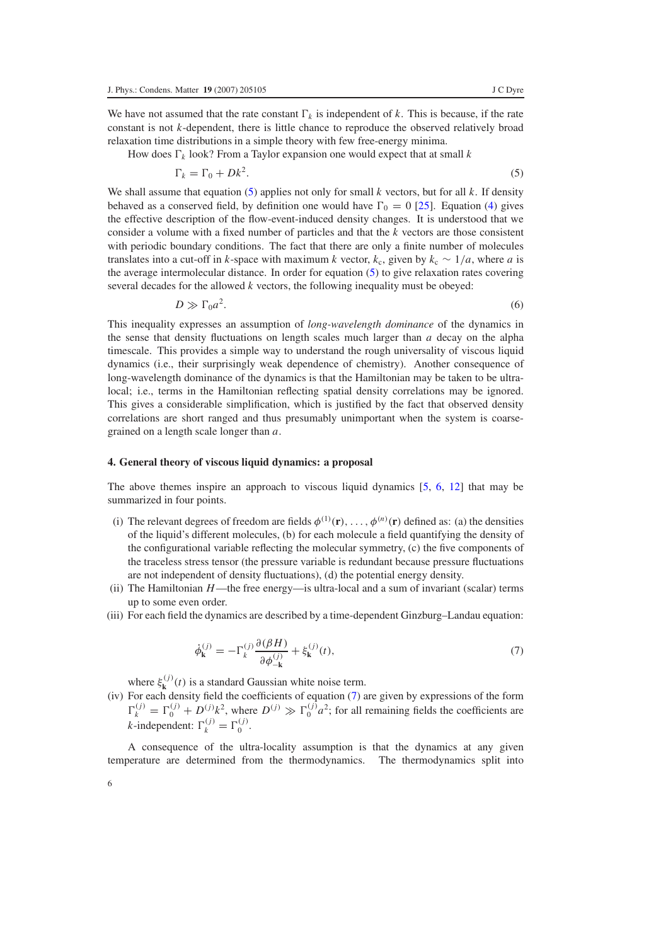<span id="page-5-0"></span>We have not assumed that the rate constant  $\Gamma_k$  is independent of *k*. This is because, if the rate constant is not *k*-dependent, there is little chance to reproduce the observed relatively broad relaxation time distributions in a simple theory with few free-energy minima.

How does  $\Gamma_k$  look? From a Taylor expansion one would expect that at small *k* 

$$
\Gamma_k = \Gamma_0 + Dk^2. \tag{5}
$$

We shall assume that equation [\(5\)](#page-5-0) applies not only for small *k* vectors, but for all *k*. If density behaved as a conserved field, by definition one would have  $\Gamma_0 = 0$  [\[25\]](#page-7-16). Equation [\(4\)](#page-4-2) gives the effective description of the flow-event-induced density changes. It is understood that we consider a volume with a fixed number of particles and that the *k* vectors are those consistent with periodic boundary conditions. The fact that there are only a finite number of molecules translates into a cut-off in *k*-space with maximum *k* vector,  $k_c$ , given by  $k_c \sim 1/a$ , where *a* is the average intermolecular distance. In order for equation [\(5\)](#page-5-0) to give relaxation rates covering several decades for the allowed *k* vectors, the following inequality must be obeyed:

> $D \gg \Gamma_0 a^2$ . .  $(6)$

This inequality expresses an assumption of *long-wavelength dominance* of the dynamics in the sense that density fluctuations on length scales much larger than *a* decay on the alpha timescale. This provides a simple way to understand the rough universality of viscous liquid dynamics (i.e., their surprisingly weak dependence of chemistry). Another consequence of long-wavelength dominance of the dynamics is that the Hamiltonian may be taken to be ultralocal; i.e., terms in the Hamiltonian reflecting spatial density correlations may be ignored. This gives a considerable simplification, which is justified by the fact that observed density correlations are short ranged and thus presumably unimportant when the system is coarsegrained on a length scale longer than *a*.

#### **4. General theory of viscous liquid dynamics: a proposal**

The above themes inspire an approach to viscous liquid dynamics [\[5,](#page-7-17) [6,](#page-7-18) [12\]](#page-7-6) that may be summarized in four points.

- (i) The relevant degrees of freedom are fields  $\phi^{(1)}(\mathbf{r}), \ldots, \phi^{(n)}(\mathbf{r})$  defined as: (a) the densities of the liquid's different molecules, (b) for each molecule a field quantifying the density of the configurational variable reflecting the molecular symmetry, (c) the five components of the traceless stress tensor (the pressure variable is redundant because pressure fluctuations are not independent of density fluctuations), (d) the potential energy density.
- <span id="page-5-1"></span>(ii) The Hamiltonian  $H$ —the free energy—is ultra-local and a sum of invariant (scalar) terms up to some even order.
- (iii) For each field the dynamics are described by a time-dependent Ginzburg–Landau equation:

$$
\dot{\phi}_{\mathbf{k}}^{(j)} = -\Gamma_k^{(j)} \frac{\partial (\beta H)}{\partial \phi_{-\mathbf{k}}^{(j)}} + \xi_{\mathbf{k}}^{(j)}(t),\tag{7}
$$

where  $\xi_{\mathbf{k}}^{(j)}(t)$  is a standard Gaussian white noise term.

(iv) For each density field the coefficients of equation [\(7\)](#page-5-1) are given by expressions of the form  $\Gamma_k^{(j)} = \Gamma_0^{(j)} + D_{j,k}^{(j)}$ , where  $D^{(j)} \gg \Gamma_0^{(j)} a^2$ ; for all remaining fields the coefficients are *k*-independent:  $\Gamma_k^{(j)} = \Gamma_0^{(j)}$ .

A consequence of the ultra-locality assumption is that the dynamics at any given temperature are determined from the thermodynamics. The thermodynamics split into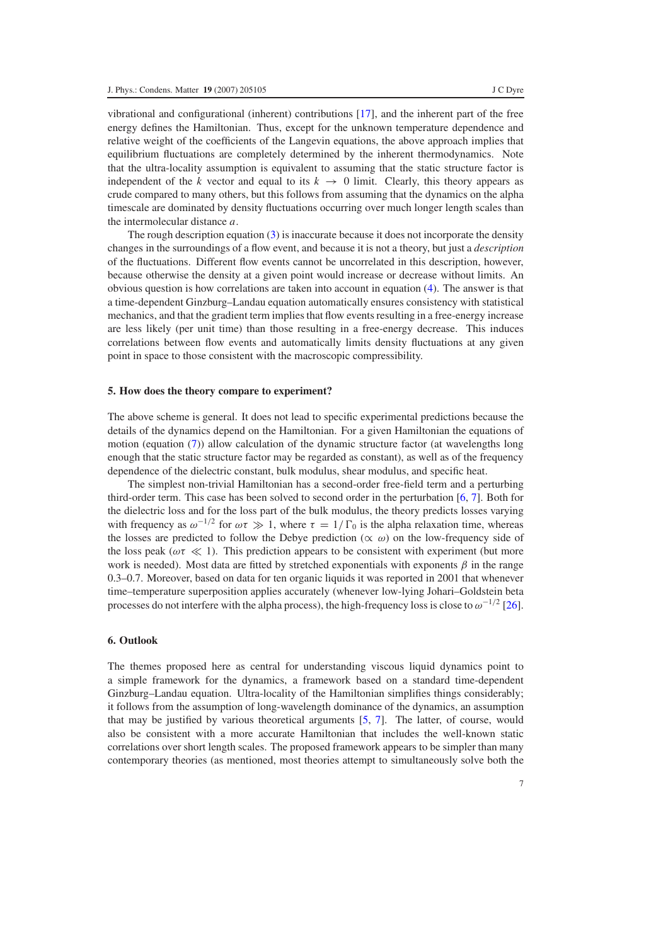vibrational and configurational (inherent) contributions [\[17\]](#page-7-10), and the inherent part of the free energy defines the Hamiltonian. Thus, except for the unknown temperature dependence and relative weight of the coefficients of the Langevin equations, the above approach implies that equilibrium fluctuations are completely determined by the inherent thermodynamics. Note that the ultra-locality assumption is equivalent to assuming that the static structure factor is independent of the *k* vector and equal to its  $k \rightarrow 0$  limit. Clearly, this theory appears as crude compared to many others, but this follows from assuming that the dynamics on the alpha timescale are dominated by density fluctuations occurring over much longer length scales than the intermolecular distance *a*.

The rough description equation [\(3\)](#page-4-0) is inaccurate because it does not incorporate the density changes in the surroundings of a flow event, and because it is not a theory, but just a *description* of the fluctuations. Different flow events cannot be uncorrelated in this description, however, because otherwise the density at a given point would increase or decrease without limits. An obvious question is how correlations are taken into account in equation [\(4\)](#page-4-2). The answer is that a time-dependent Ginzburg–Landau equation automatically ensures consistency with statistical mechanics, and that the gradient term implies that flow events resulting in a free-energy increase are less likely (per unit time) than those resulting in a free-energy decrease. This induces correlations between flow events and automatically limits density fluctuations at any given point in space to those consistent with the macroscopic compressibility.

#### **5. How does the theory compare to experiment?**

The above scheme is general. It does not lead to specific experimental predictions because the details of the dynamics depend on the Hamiltonian. For a given Hamiltonian the equations of motion (equation [\(7\)](#page-5-1)) allow calculation of the dynamic structure factor (at wavelengths long enough that the static structure factor may be regarded as constant), as well as of the frequency dependence of the dielectric constant, bulk modulus, shear modulus, and specific heat.

The simplest non-trivial Hamiltonian has a second-order free-field term and a perturbing third-order term. This case has been solved to second order in the perturbation [\[6,](#page-7-18) [7\]](#page-7-13). Both for the dielectric loss and for the loss part of the bulk modulus, the theory predicts losses varying with frequency as  $\omega^{-1/2}$  for  $\omega \tau \gg 1$ , where  $\tau = 1/\Gamma_0$  is the alpha relaxation time, whereas the losses are predicted to follow the Debye prediction ( $\propto \omega$ ) on the low-frequency side of the loss peak ( $\omega \tau \ll 1$ ). This prediction appears to be consistent with experiment (but more work is needed). Most data are fitted by stretched exponentials with exponents  $\beta$  in the range 0.3–0.7. Moreover, based on data for ten organic liquids it was reported in 2001 that whenever time–temperature superposition applies accurately (whenever low-lying Johari–Goldstein beta processes do not interfere with the alpha process), the high-frequency loss is close to  $\omega^{-1/2}$  [\[26\]](#page-7-19).

#### **6. Outlook**

The themes proposed here as central for understanding viscous liquid dynamics point to a simple framework for the dynamics, a framework based on a standard time-dependent Ginzburg–Landau equation. Ultra-locality of the Hamiltonian simplifies things considerably; it follows from the assumption of long-wavelength dominance of the dynamics, an assumption that may be justified by various theoretical arguments [\[5,](#page-7-17) [7\]](#page-7-13). The latter, of course, would also be consistent with a more accurate Hamiltonian that includes the well-known static correlations over short length scales. The proposed framework appears to be simpler than many contemporary theories (as mentioned, most theories attempt to simultaneously solve both the